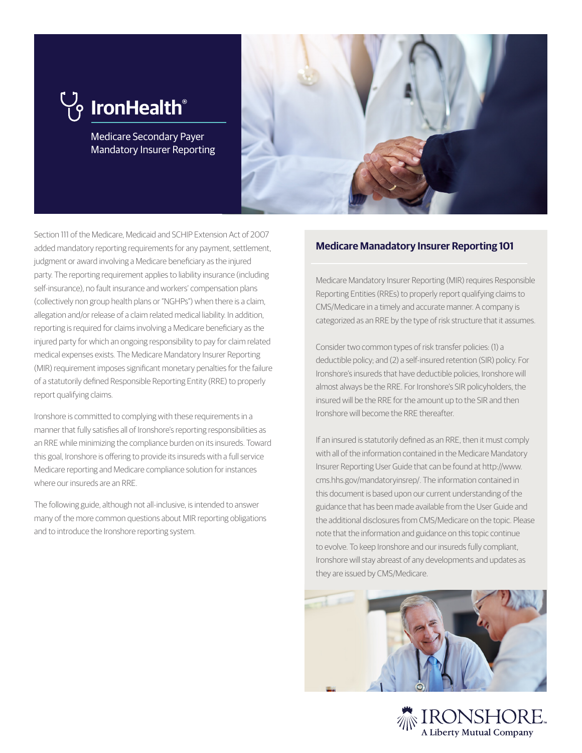# **IronHealth®**

Medicare Secondary Payer Mandatory Insurer Reporting



Section 111 of the Medicare, Medicaid and SCHIP Extension Act of 2007 added mandatory reporting requirements for any payment, settlement, judgment or award involving a Medicare beneficiary as the injured party. The reporting requirement applies to liability insurance (including self-insurance), no fault insurance and workers' compensation plans (collectively non group health plans or "NGHPs") when there is a claim, allegation and/or release of a claim related medical liability. In addition, reporting is required for claims involving a Medicare beneficiary as the injured party for which an ongoing responsibility to pay for claim related medical expenses exists. The Medicare Mandatory Insurer Reporting (MIR) requirement imposes significant monetary penalties for the failure of a statutorily defined Responsible Reporting Entity (RRE) to properly report qualifying claims.

Ironshore is committed to complying with these requirements in a manner that fully satisfies all of Ironshore's reporting responsibilities as an RRE while minimizing the compliance burden on its insureds. Toward this goal, Ironshore is offering to provide its insureds with a full service Medicare reporting and Medicare compliance solution for instances where our insureds are an RRE.

The following guide, although not all-inclusive, is intended to answer many of the more common questions about MIR reporting obligations and to introduce the Ironshore reporting system.

## **Medicare Manadatory Insurer Reporting 101**

Medicare Mandatory Insurer Reporting (MIR) requires Responsible Reporting Entities (RREs) to properly report qualifying claims to CMS/Medicare in a timely and accurate manner. A company is categorized as an RRE by the type of risk structure that it assumes.

Consider two common types of risk transfer policies: (1) a deductible policy; and (2) a self-insured retention (SIR) policy. For Ironshore's insureds that have deductible policies, Ironshore will almost always be the RRE. For Ironshore's SIR policyholders, the insured will be the RRE for the amount up to the SIR and then Ironshore will become the RRE thereafter.

If an insured is statutorily defined as an RRE, then it must comply with all of the information contained in the Medicare Mandatory Insurer Reporting User Guide that can be found at http://www. cms.hhs.gov/mandatoryinsrep/. The information contained in this document is based upon our current understanding of the guidance that has been made available from the User Guide and the additional disclosures from CMS/Medicare on the topic. Please note that the information and guidance on this topic continue to evolve. To keep Ironshore and our insureds fully compliant, Ironshore will stay abreast of any developments and updates as they are issued by CMS/Medicare.



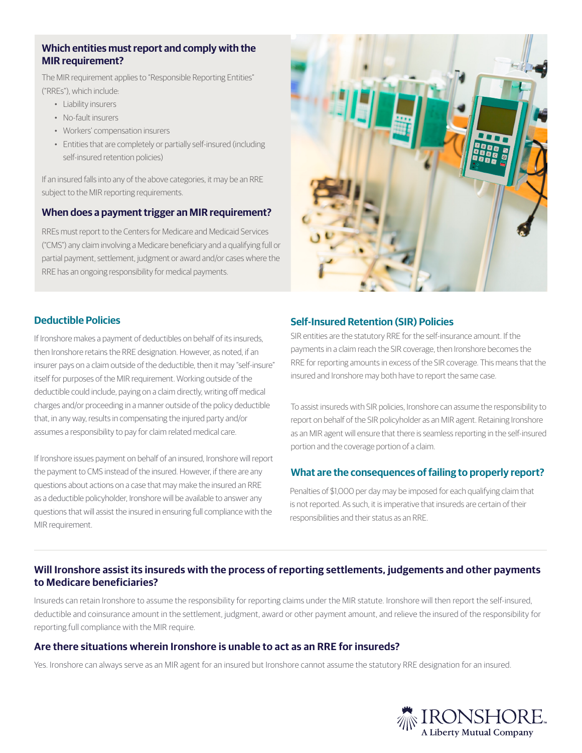#### **Which entities must report and comply with the MIR requirement?**

The MIR requirement applies to "Responsible Reporting Entities" ("RREs"), which include:

- Liability insurers
- No-fault insurers
- Workers' compensation insurers
- Entities that are completely or partially self-insured (including self-insured retention policies)

If an insured falls into any of the above categories, it may be an RRE subject to the MIR reporting requirements.

#### **When does a payment trigger an MIR requirement?**

RREs must report to the Centers for Medicare and Medicaid Services ("CMS") any claim involving a Medicare beneficiary and a qualifying full or partial payment, settlement, judgment or award and/or cases where the RRE has an ongoing responsibility for medical payments.



# **Deductible Policies**

If Ironshore makes a payment of deductibles on behalf of its insureds, then Ironshore retains the RRE designation. However, as noted, if an insurer pays on a claim outside of the deductible, then it may "self-insure" itself for purposes of the MIR requirement. Working outside of the deductible could include, paying on a claim directly, writing off medical charges and/or proceeding in a manner outside of the policy deductible that, in any way, results in compensating the injured party and/or assumes a responsibility to pay for claim related medical care.

If Ironshore issues payment on behalf of an insured, Ironshore will report the payment to CMS instead of the insured. However, if there are any questions about actions on a case that may make the insured an RRE as a deductible policyholder, Ironshore will be available to answer any questions that will assist the insured in ensuring full compliance with the MIR requirement.

## **Self-Insured Retention (SIR) Policies**

SIR entities are the statutory RRE for the self-insurance amount. If the payments in a claim reach the SIR coverage, then Ironshore becomes the RRE for reporting amounts in excess of the SIR coverage. This means that the insured and Ironshore may both have to report the same case.

To assist insureds with SIR policies, Ironshore can assume the responsibility to report on behalf of the SIR policyholder as an MIR agent. Retaining Ironshore as an MIR agent will ensure that there is seamless reporting in the self-insured portion and the coverage portion of a claim.

#### **What are the consequences of failing to properly report?**

Penalties of \$1,000 per day may be imposed for each qualifying claim that is not reported. As such, it is imperative that insureds are certain of their responsibilities and their status as an RRE.

# **Will Ironshore assist its insureds with the process of reporting settlements, judgements and other payments to Medicare beneficiaries?**

Insureds can retain Ironshore to assume the responsibility for reporting claims under the MIR statute. Ironshore will then report the self-insured, deductible and coinsurance amount in the settlement, judgment, award or other payment amount, and relieve the insured of the responsibility for reporting.full compliance with the MIR require.

#### **Are there situations wherein Ironshore is unable to act as an RRE for insureds?**

Yes. Ironshore can always serve as an MIR agent for an insured but Ironshore cannot assume the statutory RRE designation for an insured.